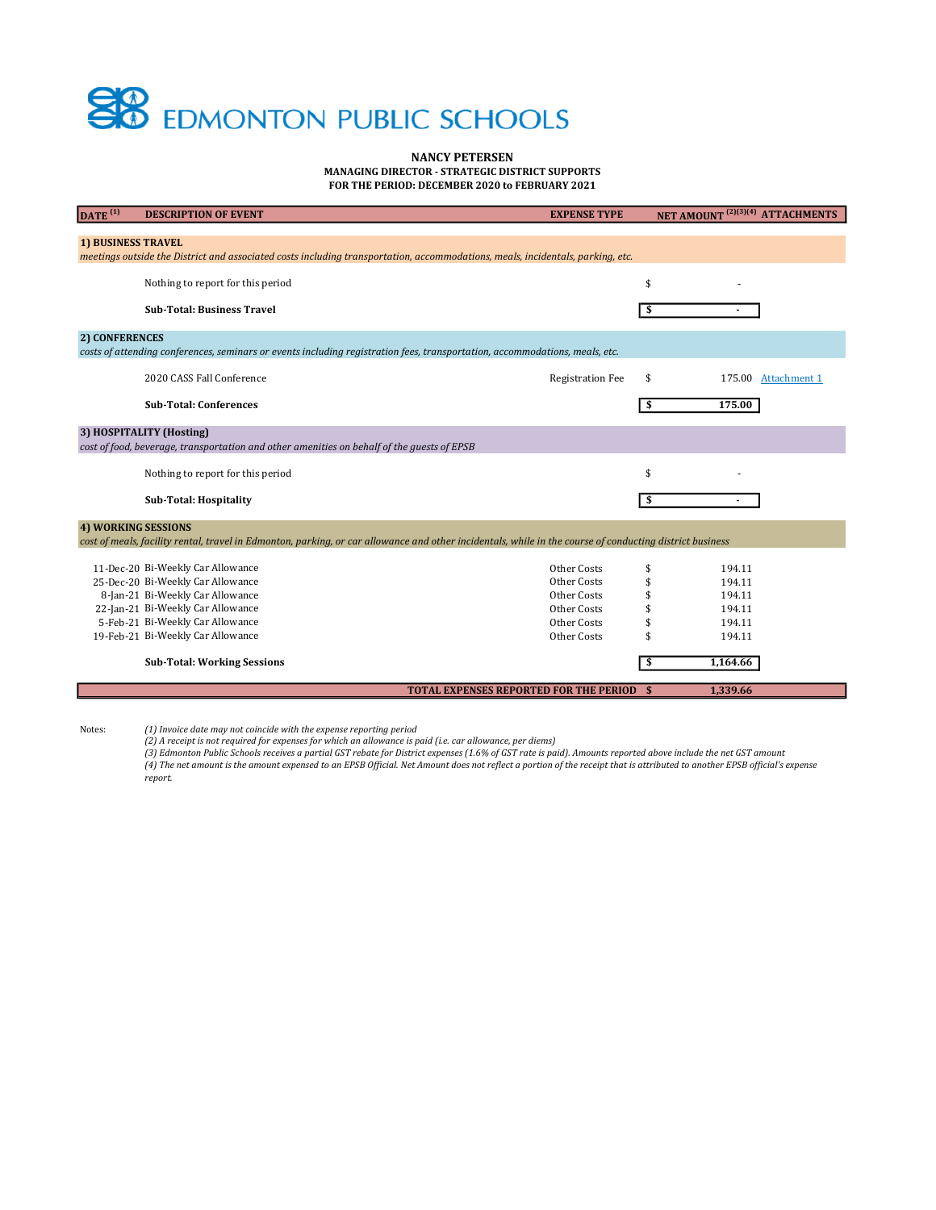## **EDMONTON PUBLIC SCHOOLS**

NANCY PETERSEN

MANAGING DIRECTOR - STRATEGIC DISTRICT SUPPORTS FOR THE PERIOD: DECEMBER 2020 to FEBRUARY 2021

| DATE <sup>(1)</sup>                                                                                                                                      | <b>DESCRIPTION OF EVENT</b>        | <b>EXPENSE TYPE</b>                              |    | NET AMOUNT <sup>(2)(3)(4)</sup> ATTACHMENTS |
|----------------------------------------------------------------------------------------------------------------------------------------------------------|------------------------------------|--------------------------------------------------|----|---------------------------------------------|
|                                                                                                                                                          |                                    |                                                  |    |                                             |
| <b>1) BUSINESS TRAVEL</b>                                                                                                                                |                                    |                                                  |    |                                             |
| meetings outside the District and associated costs including transportation, accommodations, meals, incidentals, parking, etc.                           |                                    |                                                  |    |                                             |
|                                                                                                                                                          | Nothing to report for this period  |                                                  | \$ |                                             |
|                                                                                                                                                          |                                    |                                                  |    |                                             |
|                                                                                                                                                          | <b>Sub-Total: Business Travel</b>  |                                                  | \$ |                                             |
| 2) CONFERENCES                                                                                                                                           |                                    |                                                  |    |                                             |
| costs of attending conferences, seminars or events including registration fees, transportation, accommodations, meals, etc.                              |                                    |                                                  |    |                                             |
|                                                                                                                                                          |                                    |                                                  |    |                                             |
|                                                                                                                                                          | 2020 CASS Fall Conference          | <b>Registration Fee</b>                          | \$ | 175.00 Attachment 1                         |
|                                                                                                                                                          | <b>Sub-Total: Conferences</b>      |                                                  | \$ | 175.00                                      |
|                                                                                                                                                          |                                    |                                                  |    |                                             |
| 3) HOSPITALITY (Hosting)                                                                                                                                 |                                    |                                                  |    |                                             |
| cost of food, beverage, transportation and other amenities on behalf of the guests of EPSB                                                               |                                    |                                                  |    |                                             |
|                                                                                                                                                          |                                    |                                                  |    |                                             |
|                                                                                                                                                          | Nothing to report for this period  |                                                  | \$ |                                             |
|                                                                                                                                                          | <b>Sub-Total: Hospitality</b>      |                                                  | \$ |                                             |
|                                                                                                                                                          |                                    |                                                  |    |                                             |
|                                                                                                                                                          | <b>4) WORKING SESSIONS</b>         |                                                  |    |                                             |
| cost of meals, facility rental, travel in Edmonton, parking, or car allowance and other incidentals, while in the course of conducting district business |                                    |                                                  |    |                                             |
|                                                                                                                                                          | 11-Dec-20 Bi-Weekly Car Allowance  | Other Costs                                      | \$ | 194.11                                      |
|                                                                                                                                                          | 25-Dec-20 Bi-Weekly Car Allowance  | Other Costs                                      | \$ | 194.11                                      |
|                                                                                                                                                          | 8-Jan-21 Bi-Weekly Car Allowance   | Other Costs                                      | \$ | 194.11                                      |
|                                                                                                                                                          | 22-Jan-21 Bi-Weekly Car Allowance  | Other Costs                                      |    | 194.11                                      |
|                                                                                                                                                          | 5-Feb-21 Bi-Weekly Car Allowance   | Other Costs                                      |    | 194.11                                      |
|                                                                                                                                                          | 19-Feb-21 Bi-Weekly Car Allowance  | Other Costs                                      | \$ | 194.11                                      |
|                                                                                                                                                          |                                    |                                                  |    |                                             |
|                                                                                                                                                          | <b>Sub-Total: Working Sessions</b> |                                                  | \$ | 1,164.66                                    |
|                                                                                                                                                          |                                    | <b>TOTAL EXPENSES REPORTED FOR THE PERIOD \$</b> |    | 1,339.66                                    |
|                                                                                                                                                          |                                    |                                                  |    |                                             |

Notes:

(1) Invoice date may not coincide with the expense reporting period (2) A receipt is not required for expenses for which an allowance is paid (i.e. car allowance, per diems)

(3) Edmonton Public Schools receives a partial GST rebate for District expenses (1.6% of GST rate is paid). Amounts reported above include the net GST amount

(4) The net amount is the amount expensed to an EPSB Official. Net Amount does not reflect a portion of the receipt that is attributed to another EPSB official's expense report.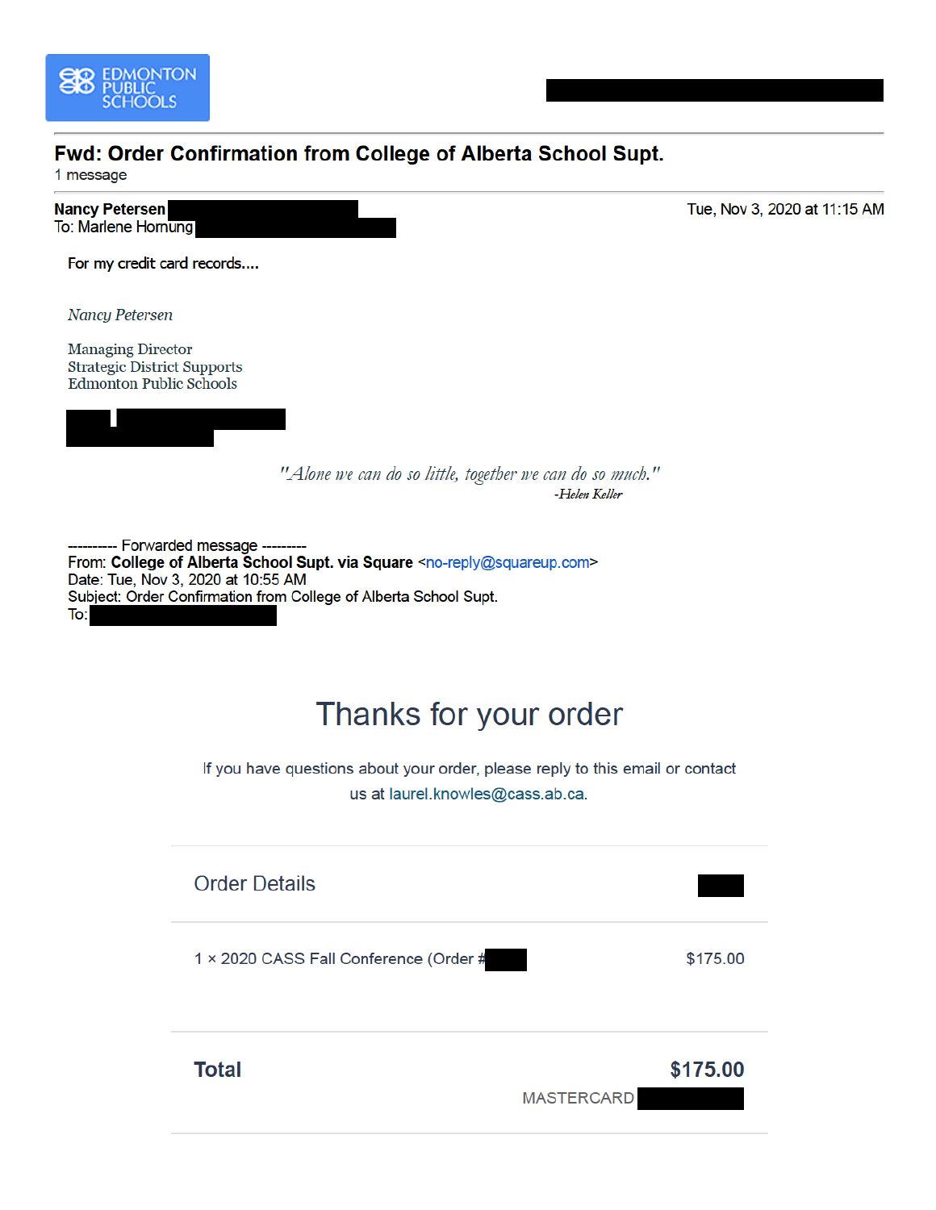

## Fwd: Order Confirmation from College of Alberta School Supt.

1 message